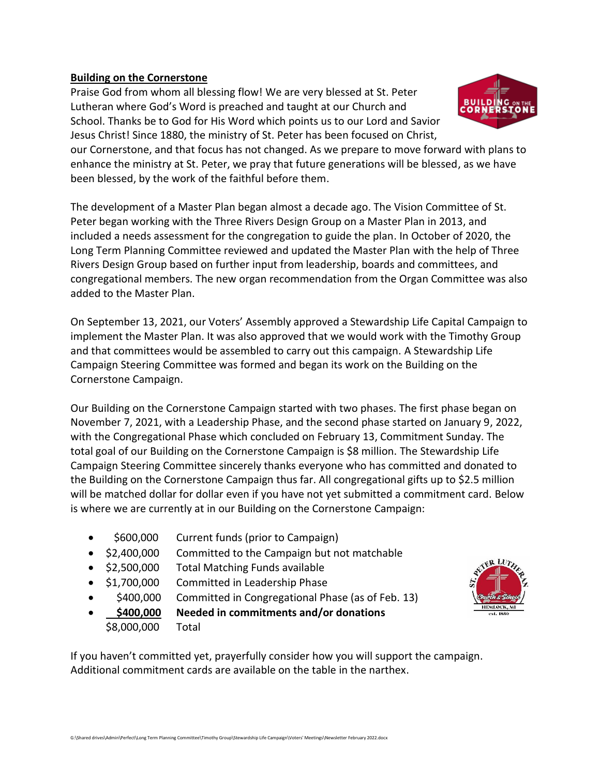## **Building on the Cornerstone**

Praise God from whom all blessing flow! We are very blessed at St. Peter Lutheran where God's Word is preached and taught at our Church and School. Thanks be to God for His Word which points us to our Lord and Savior Jesus Christ! Since 1880, the ministry of St. Peter has been focused on Christ,



our Cornerstone, and that focus has not changed. As we prepare to move forward with plans to enhance the ministry at St. Peter, we pray that future generations will be blessed, as we have been blessed, by the work of the faithful before them.

The development of a Master Plan began almost a decade ago. The Vision Committee of St. Peter began working with the Three Rivers Design Group on a Master Plan in 2013, and included a needs assessment for the congregation to guide the plan. In October of 2020, the Long Term Planning Committee reviewed and updated the Master Plan with the help of Three Rivers Design Group based on further input from leadership, boards and committees, and congregational members. The new organ recommendation from the Organ Committee was also added to the Master Plan.

On September 13, 2021, our Voters' Assembly approved a Stewardship Life Capital Campaign to implement the Master Plan. It was also approved that we would work with the Timothy Group and that committees would be assembled to carry out this campaign. A Stewardship Life Campaign Steering Committee was formed and began its work on the Building on the Cornerstone Campaign.

Our Building on the Cornerstone Campaign started with two phases. The first phase began on November 7, 2021, with a Leadership Phase, and the second phase started on January 9, 2022, with the Congregational Phase which concluded on February 13, Commitment Sunday. The total goal of our Building on the Cornerstone Campaign is \$8 million. The Stewardship Life Campaign Steering Committee sincerely thanks everyone who has committed and donated to the Building on the Cornerstone Campaign thus far. All congregational gifts up to \$2.5 million will be matched dollar for dollar even if you have not yet submitted a commitment card. Below is where we are currently at in our Building on the Cornerstone Campaign:

- \$600,000 Current funds (prior to Campaign)
- \$2,400,000 Committed to the Campaign but not matchable
- \$2,500,000 Total Matching Funds available
- \$1,700,000 Committed in Leadership Phase
- \$400,000 Committed in Congregational Phase (as of Feb. 13)



• **\$400,000 Needed in commitments and/or donations** \$8,000,000 Total

If you haven't committed yet, prayerfully consider how you will support the campaign. Additional commitment cards are available on the table in the narthex.